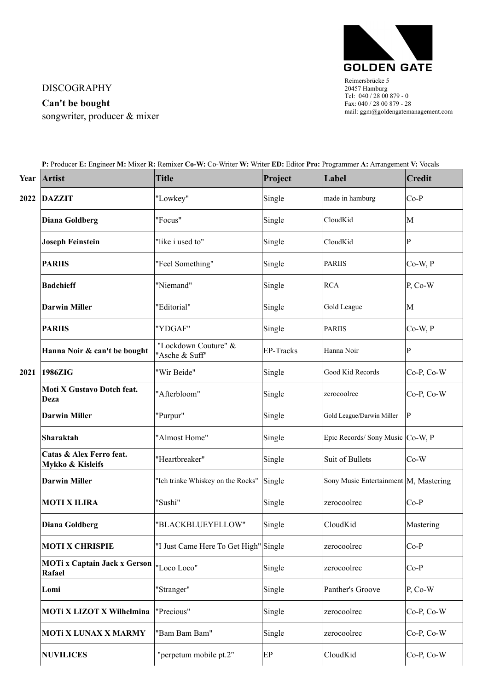## **GOLDEN GATE**

## Reimersbrücke 5 20457 Hamburg Tel: 040 / 28 00 879 - 0 Fax: 040 / 28 00 879 - 28 mail: ggm@goldengatemanagement.com

## DISCOGRAPHY

**Can't be bought**

songwriter, producer & mixer

| Year | <b>Artist</b>                                 | <b>Title</b>                           | Project   | Label                                 | <b>Credit</b> |
|------|-----------------------------------------------|----------------------------------------|-----------|---------------------------------------|---------------|
| 2022 | <b>DAZZIT</b>                                 | "Lowkey"                               | Single    | made in hamburg                       | $Co-P$        |
|      | <b>Diana Goldberg</b>                         | "Focus"                                | Single    | CloudKid                              | M             |
|      | <b>Joseph Feinstein</b>                       | "like i used to"                       | Single    | CloudKid                              | P             |
|      | <b>PARIIS</b>                                 | "Feel Something"                       | Single    | <b>PARIIS</b>                         | $Co-W, P$     |
|      | <b>Badchieff</b>                              | "Niemand"                              | Single    | <b>RCA</b>                            | P, Co-W       |
|      | <b>Darwin Miller</b>                          | "Editorial"                            | Single    | Gold League                           | M             |
|      | <b>PARIIS</b>                                 | "YDGAF"                                | Single    | <b>PARIIS</b>                         | $Co-W, P$     |
|      | Hanna Noir & can't be bought                  | "Lockdown Couture" &<br>"Asche & Suff" | EP-Tracks | Hanna Noir                            | P             |
| 2021 | 1986ZIG                                       | "Wir Beide"                            | Single    | Good Kid Records                      | Co-P, Co-W    |
|      | Moti X Gustavo Dotch feat.<br>Deza            | "Afterbloom"                           | Single    | zerocoolrec                           | Co-P, Co-W    |
|      | <b>Darwin Miller</b>                          | "Purpur"                               | Single    | Gold League/Darwin Miller             | $ {\bf p} $   |
|      | Sharaktah                                     | "Almost Home"                          | Single    | Epic Records/ Sony Music Co-W, P      |               |
|      | Catas & Alex Ferro feat.<br>Mykko & Kisleifs  | "Heartbreaker"                         | Single    | Suit of Bullets                       | $Co-W$        |
|      | <b>Darwin Miller</b>                          | "Ich trinke Whiskey on the Rocks"      | Single    | Sony Music Entertainment M, Mastering |               |
|      | <b>MOTI X ILIRA</b>                           | "Sushi"                                | Single    | zerocoolrec                           | $Co-P$        |
|      | <b>Diana Goldberg</b>                         | "BLACKBLUEYELLOW"                      | Single    | CloudKid                              | Mastering     |
|      | <b>MOTI X CHRISPIE</b>                        | "I Just Came Here To Get High" Single  |           | zerocoolrec                           | $Co-P$        |
|      | <b>MOTi x Captain Jack x Gerson</b><br>Rafael | "Loco Loco"                            | Single    | zerocoolrec                           | $Co-P$        |
|      | Lomi                                          | "Stranger"                             | Single    | Panther's Groove                      | P, Co-W       |
|      | MOTi X LIZOT X Wilhelmina                     | "Precious"                             | Single    | zerocoolrec                           | Co-P, Co-W    |
|      | <b>MOTi X LUNAX X MARMY</b>                   | "Bam Bam Bam"                          | Single    | zerocoolrec                           | Co-P, Co-W    |
|      | <b>NUVILICES</b>                              | "perpetum mobile pt.2"                 | EP        | CloudKid                              | Co-P, Co-W    |